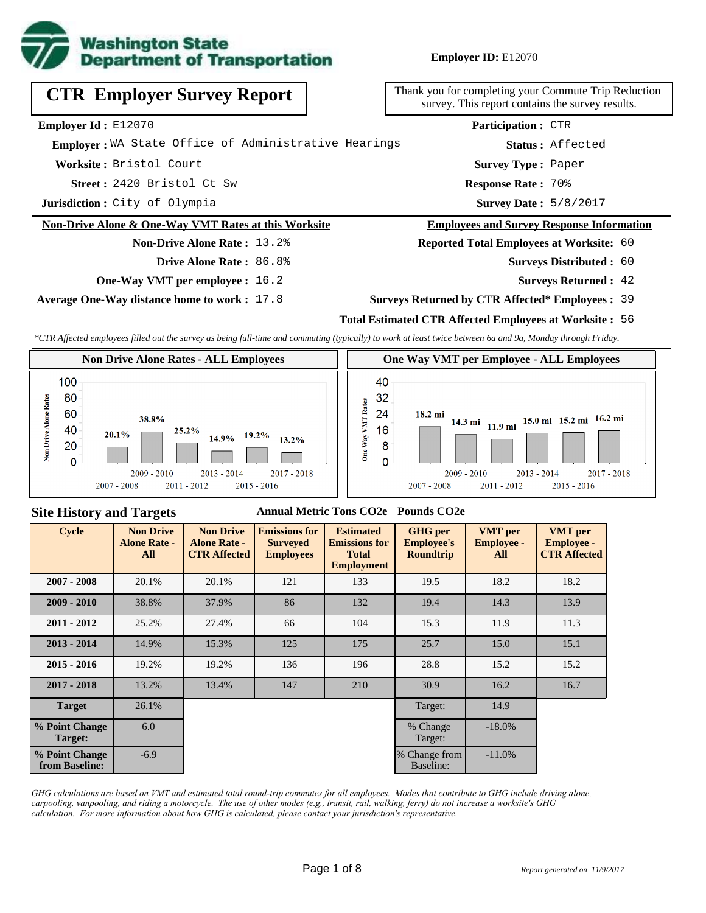

**Employer ID:** E12070

| <b>CTR Employer Survey Report</b>                    | Thank you for completing your Commute Trip Redu<br>survey. This report contains the survey results |  |  |  |  |
|------------------------------------------------------|----------------------------------------------------------------------------------------------------|--|--|--|--|
| Employer Id: E12070                                  | Participation: CTR                                                                                 |  |  |  |  |
| Emplover: WA State Office of Administrative Hearings | Status: Affected                                                                                   |  |  |  |  |
| Worksite: Bristol Court                              | <b>Survey Type: Paper</b>                                                                          |  |  |  |  |
| Street: 2420 Bristol Ct Sw                           | Response Rate: 70%                                                                                 |  |  |  |  |
| Jurisdiction: City of Olympia                        | <b>Survey Date: 5/8/2017</b>                                                                       |  |  |  |  |
| Non-Drive Alone & One-Way VMT Rates at this Worksite | <b>Employees and Survey Response Informat</b>                                                      |  |  |  |  |
| <b>Non-Drive Alone Rate: 13.2%</b>                   | <b>Reported Total Employees at Worksite: 60</b>                                                    |  |  |  |  |
| Drive Alone Rate: 86.8%                              | <b>Surveys Distributed : 60</b>                                                                    |  |  |  |  |

**One-Way VMT per employee :** 16.2

**Average One-Way distance home to work :** 17.8

eduction survey. This report contains the survey results.

#### nation

- 60
	- **Surveys Returned :** 42

#### **Surveys Returned by CTR Affected\* Employees :** 39

### **Total Estimated CTR Affected Employees at Worksite :** 56

*\*CTR Affected employees filled out the survey as being full-time and commuting (typically) to work at least twice between 6a and 9a, Monday through Friday.*



### **Site History and Targets**

### **Annual Metric Tons CO2e Pounds CO2e**

| <b>Cycle</b>                     | <b>Non Drive</b><br><b>Alone Rate -</b><br>All | <b>Non Drive</b><br><b>Alone Rate -</b><br><b>CTR Affected</b> | <b>Emissions for</b><br><b>Surveyed</b><br><b>Employees</b> | <b>Estimated</b><br><b>Emissions for</b><br><b>Total</b><br><b>Employment</b> | <b>GHG</b> per<br><b>Employee's</b><br><b>Roundtrip</b> | <b>VMT</b> per<br><b>Employee -</b><br>All | <b>VMT</b> per<br><b>Employee -</b><br><b>CTR Affected</b> |
|----------------------------------|------------------------------------------------|----------------------------------------------------------------|-------------------------------------------------------------|-------------------------------------------------------------------------------|---------------------------------------------------------|--------------------------------------------|------------------------------------------------------------|
| $2007 - 2008$                    | 20.1%                                          | 20.1%                                                          | 121                                                         | 133                                                                           | 19.5                                                    | 18.2                                       | 18.2                                                       |
| $2009 - 2010$                    | 38.8%                                          | 37.9%                                                          | 86                                                          | 132                                                                           | 19.4                                                    | 14.3                                       | 13.9                                                       |
| $2011 - 2012$                    | 25.2%                                          | 27.4%                                                          | 66                                                          | 104                                                                           | 15.3                                                    | 11.9                                       | 11.3                                                       |
| $2013 - 2014$                    | 14.9%                                          | 15.3%                                                          | 125                                                         | 175                                                                           | 25.7                                                    | 15.0                                       | 15.1                                                       |
| $2015 - 2016$                    | 19.2%                                          | 19.2%                                                          | 136                                                         | 196                                                                           | 28.8                                                    | 15.2                                       | 15.2                                                       |
| $2017 - 2018$                    | 13.2%                                          | 13.4%                                                          | 147                                                         | 210                                                                           | 30.9                                                    | 16.2                                       | 16.7                                                       |
| <b>Target</b>                    | 26.1%                                          |                                                                |                                                             |                                                                               | Target:                                                 | 14.9                                       |                                                            |
| % Point Change<br>Target:        | 6.0                                            |                                                                |                                                             |                                                                               | % Change<br>Target:                                     | $-18.0\%$                                  |                                                            |
| % Point Change<br>from Baseline: | $-6.9$                                         |                                                                |                                                             |                                                                               | % Change from<br>Baseline:                              | $-11.0%$                                   |                                                            |

*GHG calculations are based on VMT and estimated total round-trip commutes for all employees. Modes that contribute to GHG include driving alone, carpooling, vanpooling, and riding a motorcycle. The use of other modes (e.g., transit, rail, walking, ferry) do not increase a worksite's GHG calculation. For more information about how GHG is calculated, please contact your jurisdiction's representative.*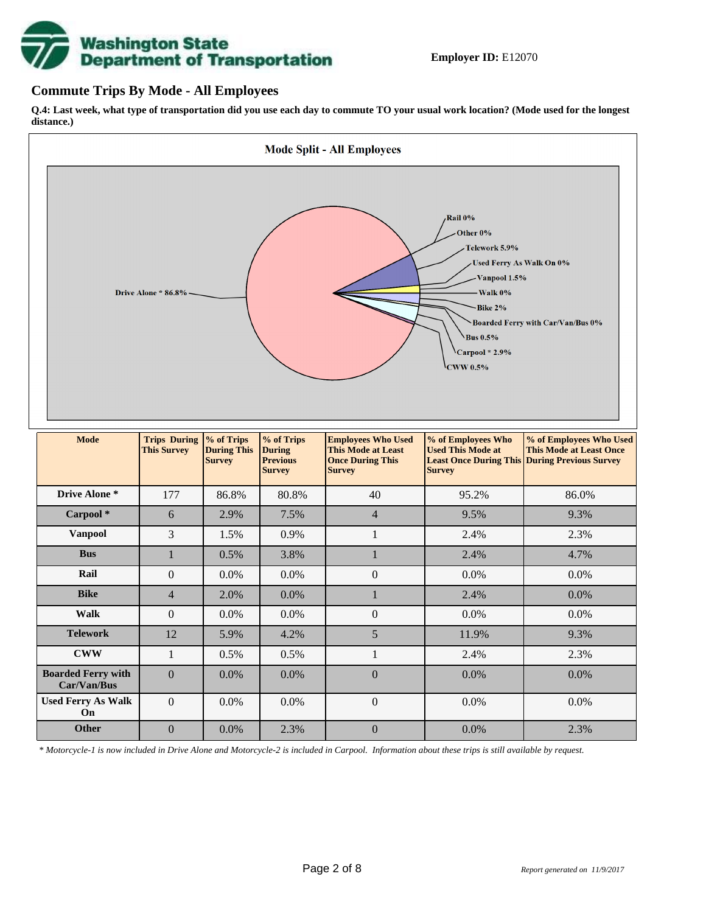

### **Commute Trips By Mode - All Employees**

**Q.4: Last week, what type of transportation did you use each day to commute TO your usual work location? (Mode used for the longest distance.)**



*\* Motorcycle-1 is now included in Drive Alone and Motorcycle-2 is included in Carpool. Information about these trips is still available by request.*

**Other**  $\begin{array}{|c|c|c|c|c|c|c|} \hline 0 & 0.0\% & 2.3\% & 0 & 0.0\% & 0.0\% \hline \end{array}$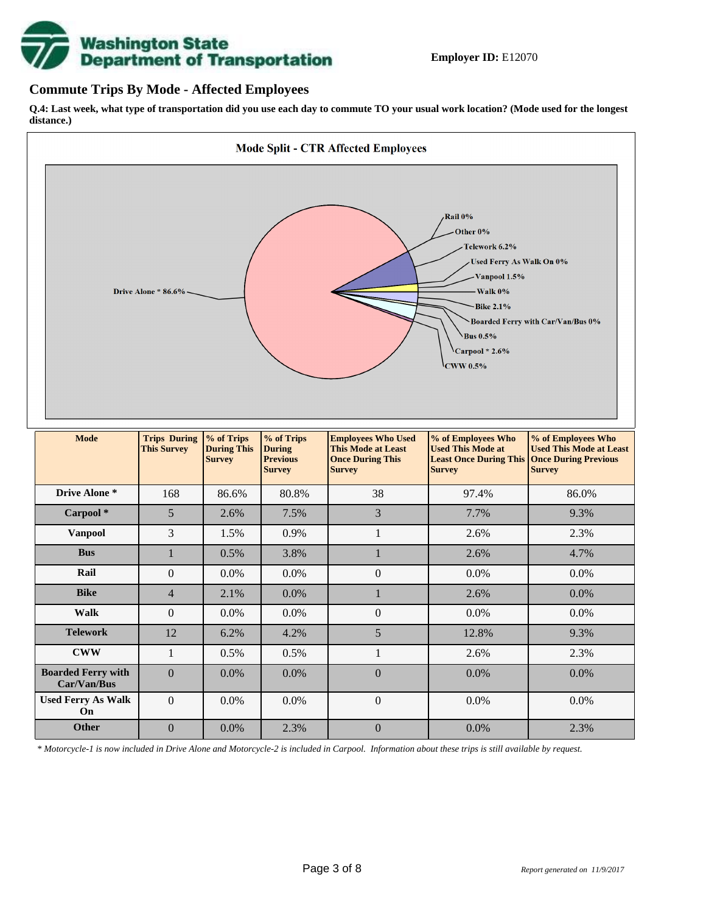

### **Commute Trips By Mode - Affected Employees**

**Q.4: Last week, what type of transportation did you use each day to commute TO your usual work location? (Mode used for the longest distance.)**



*\* Motorcycle-1 is now included in Drive Alone and Motorcycle-2 is included in Carpool. Information about these trips is still available by request.*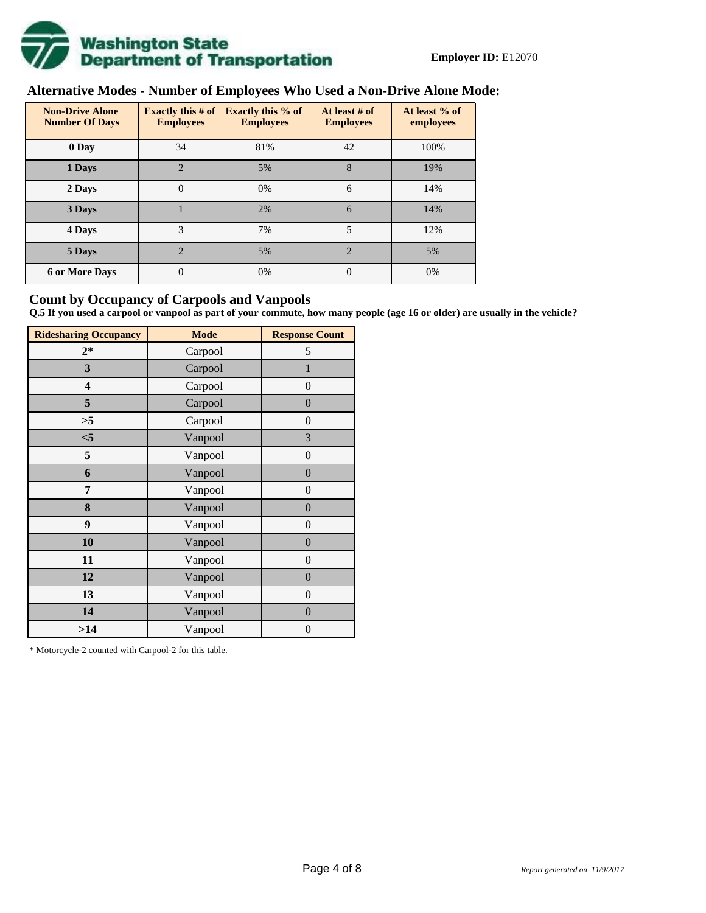

# **Alternative Modes - Number of Employees Who Used a Non-Drive Alone Mode:**

| <b>Non-Drive Alone</b><br><b>Number Of Days</b> | <b>Exactly this # of</b><br><b>Employees</b> | <b>Exactly this % of</b><br><b>Employees</b> | At least # of<br><b>Employees</b> | At least % of<br>employees |
|-------------------------------------------------|----------------------------------------------|----------------------------------------------|-----------------------------------|----------------------------|
| 0 Day                                           | 34                                           | 81%                                          | 42                                | 100%                       |
| 1 Days                                          | $\overline{2}$                               | 5%                                           | 8                                 | 19%                        |
| 2 Days                                          | $\overline{0}$                               | 0%                                           | 6                                 | 14%                        |
| 3 Days                                          |                                              | 2%                                           | 6                                 | 14%                        |
| 4 Days                                          | 3                                            | 7%                                           | 5                                 | 12%                        |
| 5 Days                                          | $\mathfrak{D}$                               | 5%                                           | $\mathfrak{D}$                    | 5%                         |
| <b>6 or More Days</b>                           | 0                                            | 0%                                           | $\Omega$                          | 0%                         |

### **Count by Occupancy of Carpools and Vanpools**

**Q.5 If you used a carpool or vanpool as part of your commute, how many people (age 16 or older) are usually in the vehicle?**

| <b>Ridesharing Occupancy</b> | <b>Mode</b> | <b>Response Count</b> |
|------------------------------|-------------|-----------------------|
| $2*$                         | Carpool     | 5                     |
| 3                            | Carpool     | $\mathbf{1}$          |
| 4                            | Carpool     | $\theta$              |
| 5                            | Carpool     | $\boldsymbol{0}$      |
| >5                           | Carpool     | $\overline{0}$        |
| $<$ 5                        | Vanpool     | 3                     |
| 5                            | Vanpool     | $\overline{0}$        |
| 6                            | Vanpool     | $\boldsymbol{0}$      |
| 7                            | Vanpool     | $\overline{0}$        |
| 8                            | Vanpool     | $\boldsymbol{0}$      |
| 9                            | Vanpool     | $\overline{0}$        |
| 10                           | Vanpool     | $\overline{0}$        |
| 11                           | Vanpool     | $\boldsymbol{0}$      |
| 12                           | Vanpool     | $\boldsymbol{0}$      |
| 13                           | Vanpool     | $\boldsymbol{0}$      |
| 14                           | Vanpool     | $\overline{0}$        |
| >14                          | Vanpool     | $\boldsymbol{0}$      |

\* Motorcycle-2 counted with Carpool-2 for this table.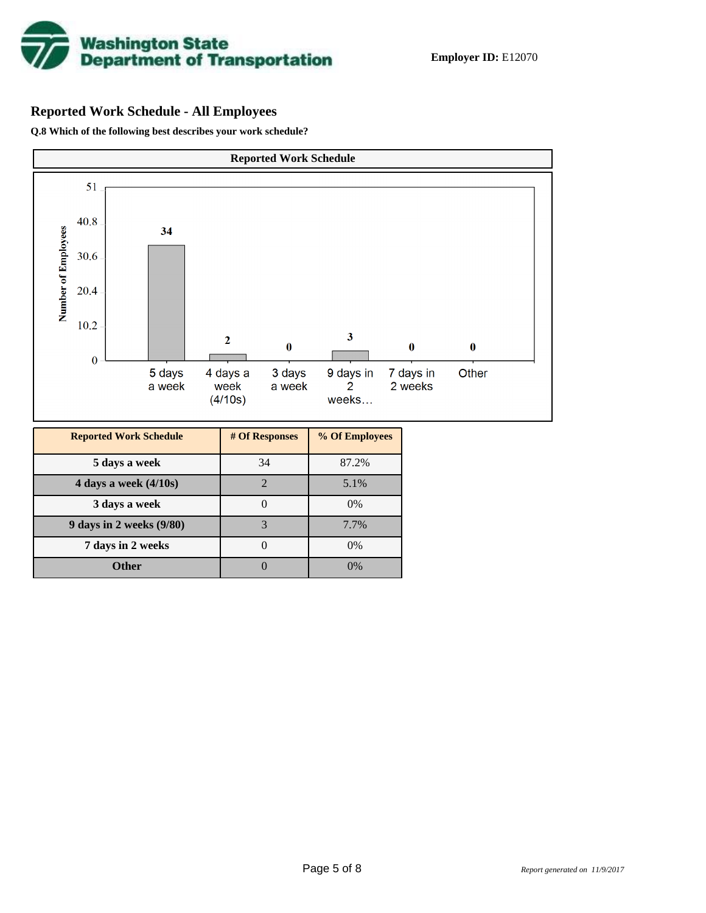

# **Reported Work Schedule - All Employees**

**Q.8 Which of the following best describes your work schedule?**

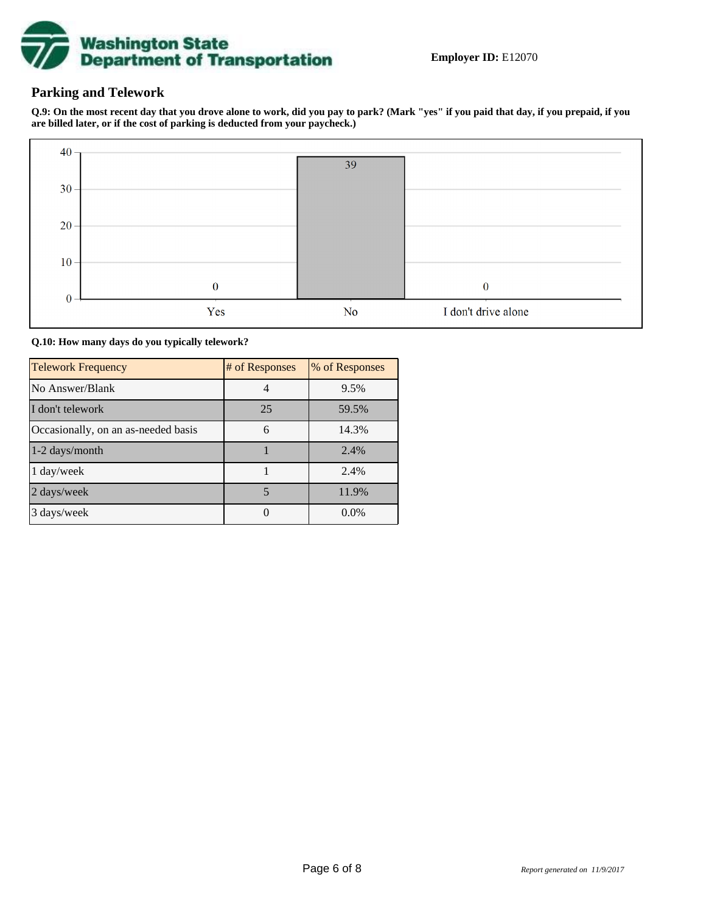

## **Parking and Telework**

**Q.9: On the most recent day that you drove alone to work, did you pay to park? (Mark "yes" if you paid that day, if you prepaid, if you are billed later, or if the cost of parking is deducted from your paycheck.)**



**Q.10: How many days do you typically telework?**

| <b>Telework Frequency</b>           | # of Responses | % of Responses |
|-------------------------------------|----------------|----------------|
| No Answer/Blank                     |                | 9.5%           |
| I don't telework                    | 25             | 59.5%          |
| Occasionally, on an as-needed basis | 6              | 14.3%          |
| 1-2 days/month                      |                | 2.4%           |
| 1 day/week                          |                | 2.4%           |
| 2 days/week                         | 5              | 11.9%          |
| 3 days/week                         |                | $0.0\%$        |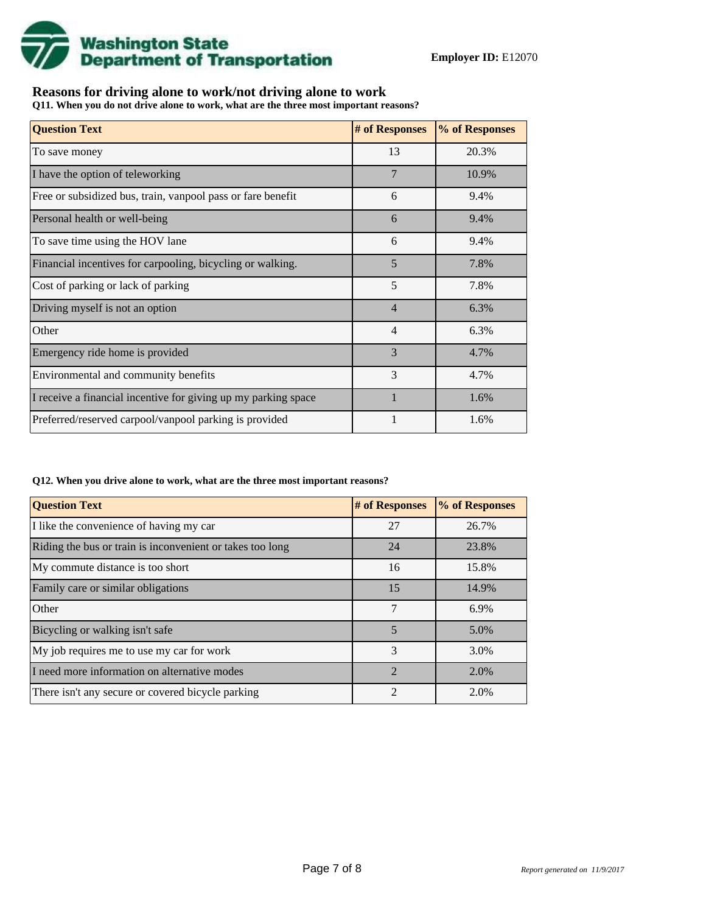

## **Reasons for driving alone to work/not driving alone to work**

**Q11. When you do not drive alone to work, what are the three most important reasons?**

| <b>Question Text</b>                                           | # of Responses | % of Responses |
|----------------------------------------------------------------|----------------|----------------|
| To save money                                                  | 13             | 20.3%          |
| I have the option of teleworking                               | $\overline{7}$ | 10.9%          |
| Free or subsidized bus, train, vanpool pass or fare benefit    | 6              | 9.4%           |
| Personal health or well-being                                  | 6              | 9.4%           |
| To save time using the HOV lane                                | 6              | 9.4%           |
| Financial incentives for carpooling, bicycling or walking.     | 5              | 7.8%           |
| Cost of parking or lack of parking                             | 5              | 7.8%           |
| Driving myself is not an option                                | $\overline{4}$ | 6.3%           |
| Other                                                          | $\overline{4}$ | 6.3%           |
| Emergency ride home is provided                                | 3              | 4.7%           |
| Environmental and community benefits                           | 3              | 4.7%           |
| I receive a financial incentive for giving up my parking space |                | 1.6%           |
| Preferred/reserved carpool/vanpool parking is provided         |                | 1.6%           |

#### **Q12. When you drive alone to work, what are the three most important reasons?**

| <b>Question Text</b>                                      | # of Responses | % of Responses |
|-----------------------------------------------------------|----------------|----------------|
| I like the convenience of having my car                   | 27             | 26.7%          |
| Riding the bus or train is inconvenient or takes too long | 24             | 23.8%          |
| My commute distance is too short                          | 16             | 15.8%          |
| Family care or similar obligations                        | 15             | 14.9%          |
| Other                                                     | 7              | 6.9%           |
| Bicycling or walking isn't safe                           | 5              | 5.0%           |
| My job requires me to use my car for work                 | 3              | 3.0%           |
| I need more information on alternative modes              | $\mathfrak{D}$ | 2.0%           |
| There isn't any secure or covered bicycle parking         | $\mathfrak{D}$ | 2.0%           |